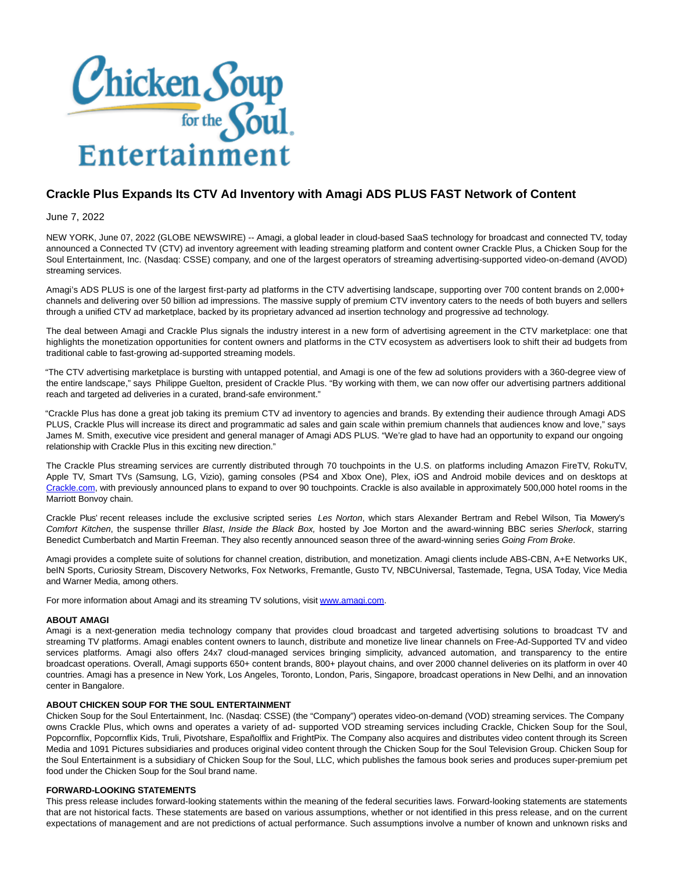

## **Crackle Plus Expands Its CTV Ad Inventory with Amagi ADS PLUS FAST Network of Content**

June 7, 2022

NEW YORK, June 07, 2022 (GLOBE NEWSWIRE) -- Amagi, a global leader in cloud-based SaaS technology for broadcast and connected TV, today announced a Connected TV (CTV) ad inventory agreement with leading streaming platform and content owner Crackle Plus, a Chicken Soup for the Soul Entertainment, Inc. (Nasdaq: CSSE) company, and one of the largest operators of streaming advertising-supported video-on-demand (AVOD) streaming services.

Amagi's ADS PLUS is one of the largest first-party ad platforms in the CTV advertising landscape, supporting over 700 content brands on 2,000+ channels and delivering over 50 billion ad impressions. The massive supply of premium CTV inventory caters to the needs of both buyers and sellers through a unified CTV ad marketplace, backed by its proprietary advanced ad insertion technology and progressive ad technology.

The deal between Amagi and Crackle Plus signals the industry interest in a new form of advertising agreement in the CTV marketplace: one that highlights the monetization opportunities for content owners and platforms in the CTV ecosystem as advertisers look to shift their ad budgets from traditional cable to fast-growing ad-supported streaming models.

"The CTV advertising marketplace is bursting with untapped potential, and Amagi is one of the few ad solutions providers with a 360-degree view of the entire landscape," says Philippe Guelton, president of Crackle Plus. "By working with them, we can now offer our advertising partners additional reach and targeted ad deliveries in a curated, brand-safe environment."

"Crackle Plus has done a great job taking its premium CTV ad inventory to agencies and brands. By extending their audience through Amagi ADS PLUS, Crackle Plus will increase its direct and programmatic ad sales and gain scale within premium channels that audiences know and love," says James M. Smith, executive vice president and general manager of Amagi ADS PLUS. "We're glad to have had an opportunity to expand our ongoing relationship with Crackle Plus in this exciting new direction."

The Crackle Plus streaming services are currently distributed through 70 touchpoints in the U.S. on platforms including Amazon FireTV, RokuTV, Apple TV, Smart TVs (Samsung, LG, Vizio), gaming consoles (PS4 and Xbox One), Plex, iOS and Android mobile devices and on desktops at [Crackle.com,](https://www.globenewswire.com/Tracker?data=U1vZctabbdgW8F0LP6HqFXw2qaC7_3h96_CrSB23Wd_99dK9pl49HQ6kZqxYROzzDrAIt1RhiplLKUsX3ee8lw==) with previously announced plans to expand to over 90 touchpoints. Crackle is also available in approximately 500,000 hotel rooms in the Marriott Bonvoy chain.

Crackle Plus' recent releases include the exclusive scripted series Les Norton, which stars Alexander Bertram and Rebel Wilson, Tia Mowery's Comfort Kitchen, the suspense thriller Blast, Inside the Black Box, hosted by Joe Morton and the award-winning BBC series Sherlock, starring Benedict Cumberbatch and Martin Freeman. They also recently announced season three of the award-winning series Going From Broke.

Amagi provides a complete suite of solutions for channel creation, distribution, and monetization. Amagi clients include ABS-CBN, A+E Networks UK, beIN Sports, Curiosity Stream, Discovery Networks, Fox Networks, Fremantle, Gusto TV, NBCUniversal, Tastemade, Tegna, USA Today, Vice Media and Warner Media, among others.

For more information about Amagi and its streaming TV solutions, visit [www.amagi.com.](https://www.globenewswire.com/Tracker?data=g-Qf5mlyf7Y-k1FPvrZX28Sem_G8abAQIq0WfgFPAG7nRHiZegBkMXjlp9vLgcm5uMR3UGWuUMJHNhKr10NbpA==)

## **ABOUT AMAGI**

Amagi is a next-generation media technology company that provides cloud broadcast and targeted advertising solutions to broadcast TV and streaming TV platforms. Amagi enables content owners to launch, distribute and monetize live linear channels on Free-Ad-Supported TV and video services platforms. Amagi also offers 24x7 cloud-managed services bringing simplicity, advanced automation, and transparency to the entire broadcast operations. Overall, Amagi supports 650+ content brands, 800+ playout chains, and over 2000 channel deliveries on its platform in over 40 countries. Amagi has a presence in New York, Los Angeles, Toronto, London, Paris, Singapore, broadcast operations in New Delhi, and an innovation center in Bangalore.

## **ABOUT CHICKEN SOUP FOR THE SOUL ENTERTAINMENT**

Chicken Soup for the Soul Entertainment, Inc. (Nasdaq: CSSE) (the "Company") operates video-on-demand (VOD) streaming services. The Company owns Crackle Plus, which owns and operates a variety of ad- supported VOD streaming services including Crackle, Chicken Soup for the Soul, Popcornflix, Popcornflix Kids, Truli, Pivotshare, Españolflix and FrightPix. The Company also acquires and distributes video content through its Screen Media and 1091 Pictures subsidiaries and produces original video content through the Chicken Soup for the Soul Television Group. Chicken Soup for the Soul Entertainment is a subsidiary of Chicken Soup for the Soul, LLC, which publishes the famous book series and produces super-premium pet food under the Chicken Soup for the Soul brand name.

## **FORWARD-LOOKING STATEMENTS**

This press release includes forward-looking statements within the meaning of the federal securities laws. Forward-looking statements are statements that are not historical facts. These statements are based on various assumptions, whether or not identified in this press release, and on the current expectations of management and are not predictions of actual performance. Such assumptions involve a number of known and unknown risks and